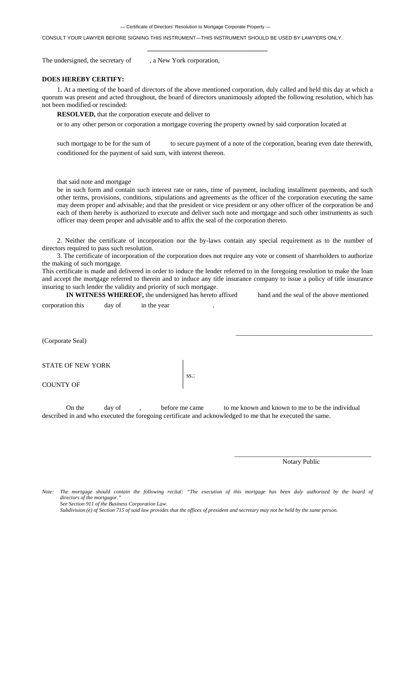— Certificate of Directors' Resolution to Mortgage Corporate Property —

CONSULT YOUR LAWYER BEFORE SIGNING THIS INSTRUMENT—THIS INSTRUMENT SHOULD BE USED BY LAWYERS ONLY.

The undersigned, the secretary of , a New York corporation,

## **DOES HEREBY CERTIFY:**

1. At a meeting of the board of directors of the above mentioned corporation, duly called and held this day at which a quorum was present and acted throughout, the board of directors unanimously adopted the following resolution, which has not been modified or rescinded:

**——————————————————** 

**RESOLVED,** that the corporation execute and deliver to

or to any other person or corporation a mortgage covering the property owned by said corporation located at

such mortgage to be for the sum of to secure payment of a note of the corporation, bearing even date therewith, conditioned for the payment of said sum, with interest thereon.

that said note and mortgage

be in such form and contain such interest rate or rates, time of payment, including installment payments, and such other terms, provisions, conditions, stipulations and agreements as the officer of the corporation executing the same may deem proper and advisable; and that the president or vice president or any other officer of the corporation be and each of them hereby is authorized to execute and deliver such note and mortgage and such other instruments as such officer may deem proper and advisable and to affix the seal of the corporation thereto.

2. Neither the certificate of incorporation nor the by-laws contain any special requirement as to the number of directors required to pass such resolution.

3. The certificate of incorporation of the corporation does not require any vote or consent of shareholders to authorize the making of such mortgage.

This certificate is made and delivered in order to induce the lender referred to in the foregoing resolution to make the loan and accept the mortgage referred to therein and to induce any title insurance company to issue a policy of title insurance insuring to such lender the validity and priority of such mortgage.

**IN WITNESS WHEREOF,** the undersigned has hereto affixed hand and the seal of the above mentioned corporation this day of in the year

(Corporate Seal)

STATE OF NEW YORK

COUNTY OF

On the day of , before me came to me known and known to me to be the individual described in and who executed the foregoing certificate and acknowledged to me that he executed the same.

ss.:

Notary Public

\_\_\_\_\_\_\_\_\_\_\_\_\_\_\_\_\_\_\_\_\_\_\_\_\_\_\_\_\_\_\_\_\_\_\_\_\_\_\_\_\_

*Note: The mortgage should contain the following recital: "The execution of this mortgage has been duly authorized by the board of*   $directors of the mortgageor.$  *See Section 911 of the Business Corporation Law.* 

 $\frac{1}{2}$  , and the state of the state of the state of the state of the state of the state of the state of the state of the state of the state of the state of the state of the state of the state of the state of the state

 *Subdivision (e) of Section 715 of said law provides that the offices of president and secretary may not be held by the same person.*